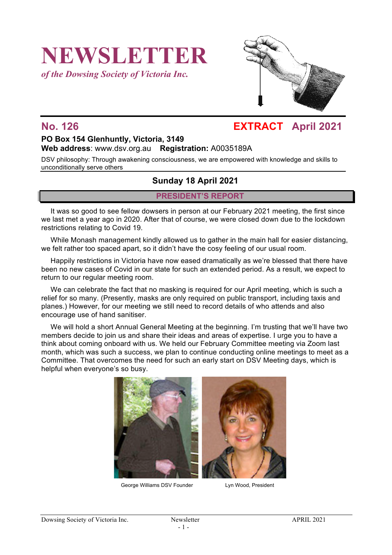# **NEWSLETTER**

*of the Dowsing Society of Victoria Inc.*



## **No. 126 EXTRACT April 2021**

#### **PO Box 154 Glenhuntly, Victoria, 3149 Web address**: www.dsv.org.au **Registration:** A0035189A

DSV philosophy: Through awakening consciousness, we are empowered with knowledge and skills to unconditionally serve others

#### **Sunday 18 April 2021**

#### **PRESIDENT'S REPORT**

It was so good to see fellow dowsers in person at our February 2021 meeting, the first since we last met a year ago in 2020. After that of course, we were closed down due to the lockdown restrictions relating to Covid 19.

While Monash management kindly allowed us to gather in the main hall for easier distancing, we felt rather too spaced apart, so it didn't have the cosy feeling of our usual room.

Happily restrictions in Victoria have now eased dramatically as we're blessed that there have been no new cases of Covid in our state for such an extended period. As a result, we expect to return to our regular meeting room.

We can celebrate the fact that no masking is required for our April meeting, which is such a relief for so many. (Presently, masks are only required on public transport, including taxis and planes.) However, for our meeting we still need to record details of who attends and also encourage use of hand sanitiser.

We will hold a short Annual General Meeting at the beginning. I'm trusting that we'll have two members decide to join us and share their ideas and areas of expertise. I urge you to have a think about coming onboard with us. We held our February Committee meeting via Zoom last month, which was such a success, we plan to continue conducting online meetings to meet as a Committee. That overcomes the need for such an early start on DSV Meeting days, which is helpful when everyone's so busy.



George Williams DSV Founder Lyn Wood, President

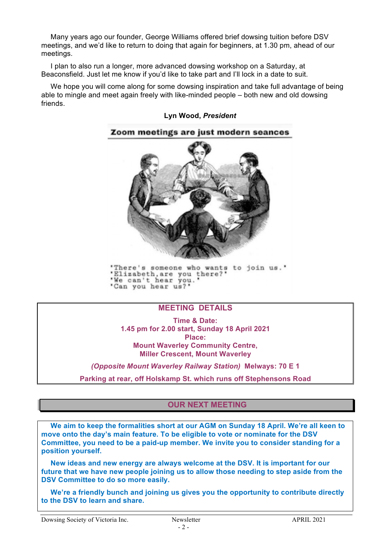Many years ago our founder, George Williams offered brief dowsing tuition before DSV meetings, and we'd like to return to doing that again for beginners, at 1.30 pm, ahead of our meetings.

I plan to also run a longer, more advanced dowsing workshop on a Saturday, at Beaconsfield. Just let me know if you'd like to take part and I'll lock in a date to suit.

We hope you will come along for some dowsing inspiration and take full advantage of being able to mingle and meet again freely with like-minded people – both new and old dowsing friends.

#### **Lyn Wood,** *President*



'There's someone who wants to join us.' Elizabeth, are you there?"<br>We can't hear you." 'Can you hear us?'

#### **MEETING DETAILS**

**Time & Date: 1.45 pm for 2.00 start, Sunday 18 April 2021 Place: Mount Waverley Community Centre, Miller Crescent, Mount Waverley**

*(Opposite Mount Waverley Railway Station)* **Melways: 70 E 1**

**Parking at rear, off Holskamp St. which runs off Stephensons Road**

#### **OUR NEXT MEETING**

**We aim to keep the formalities short at our AGM on Sunday 18 April. We're all keen to move onto the day's main feature. To be eligible to vote or nominate for the DSV Committee, you need to be a paid-up member. We invite you to consider standing for a position yourself.** 

**New ideas and new energy are always welcome at the DSV. It is important for our future that we have new people joining us to allow those needing to step aside from the DSV Committee to do so more easily.**

**We're a friendly bunch and joining us gives you the opportunity to contribute directly to the DSV to learn and share.**

Dowsing Society of Victoria Inc. Newsletter Newsletter APRIL 2021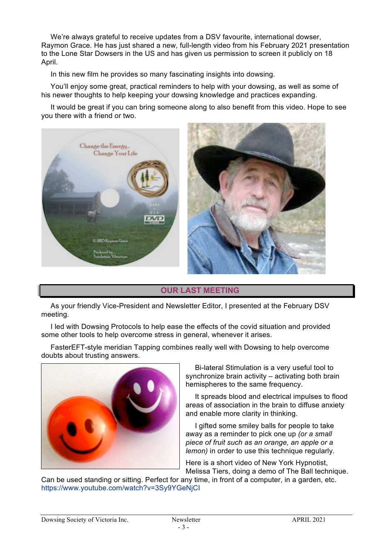We're always grateful to receive updates from a DSV favourite, international dowser, Raymon Grace. He has just shared a new, full-length video from his February 2021 presentation to the Lone Star Dowsers in the US and has given us permission to screen it publicly on 18 April.

In this new film he provides so many fascinating insights into dowsing.

You'll enjoy some great, practical reminders to help with your dowsing, as well as some of his newer thoughts to help keeping your dowsing knowledge and practices expanding.

It would be great if you can bring someone along to also benefit from this video. Hope to see you there with a friend or two.



#### **OUR LAST MEETING**

As your friendly Vice-President and Newsletter Editor, I presented at the February DSV meeting.

I led with Dowsing Protocols to help ease the effects of the covid situation and provided some other tools to help overcome stress in general, whenever it arises.

FasterEFT-style meridian Tapping combines really well with Dowsing to help overcome doubts about trusting answers.



Bi-lateral Stimulation is a very useful tool to synchronize brain activity – activating both brain hemispheres to the same frequency.

It spreads blood and electrical impulses to flood areas of association in the brain to diffuse anxiety and enable more clarity in thinking.

I gifted some smiley balls for people to take away as a reminder to pick one up *(or a small piece of fruit such as an orange, an apple or a lemon)* in order to use this technique regularly.

Here is a short video of New York Hypnotist, Melissa Tiers, doing a demo of The Ball technique.

Can be used standing or sitting. Perfect for any time, in front of a computer, in a garden, etc. https://www.youtube.com/watch?v=3Sy9YGeNjCI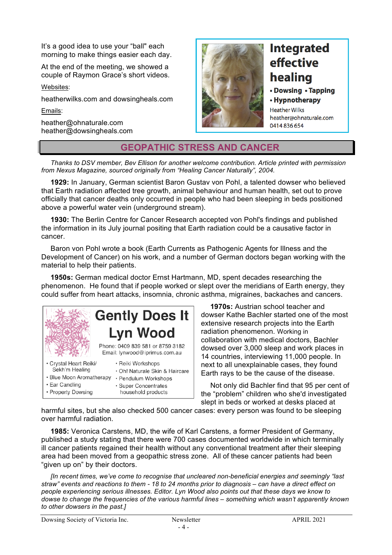It's a good idea to use your "ball" each morning to make things easier each day.

At the end of the meeting, we showed a couple of Raymon Grace's short videos.

Websites:

heatherwilks.com and dowsingheals.com

Emails:

heather@ohnaturale.com heather@dowsingheals.com



# **Integrated** effective healing

#### • Dowsing • Tapping

• Hypnotherapy **Heather Wilks** heather@ohnaturale.com 0414836654

### **GEOPATHIC STRESS AND CANCER**

*Thanks to DSV member, Bev Ellison for another welcome contribution. Article printed with permission from Nexus Magazine, sourced originally from "Healing Cancer Naturally", 2004.*

**1929:** In January, German scientist Baron Gustav von Pohl, a talented dowser who believed that Earth radiation affected tree growth, animal behaviour and human health, set out to prove officially that cancer deaths only occurred in people who had been sleeping in beds positioned above a powerful water vein (underground stream).

**1930:** The Berlin Centre for Cancer Research accepted von Pohl's findings and published the information in its July journal positing that Earth radiation could be a causative factor in cancer.

Baron von Pohl wrote a book (Earth Currents as Pathogenic Agents for Illness and the Development of Cancer) on his work, and a number of German doctors began working with the material to help their patients.

**1950s:** German medical doctor Ernst Hartmann, MD, spent decades researching the phenomenon. He found that if people worked or slept over the meridians of Earth energy, they could suffer from heart attacks, insomnia, chronic asthma, migraines, backaches and cancers.



**1970s:** Austrian school teacher and dowser Kathe Bachler started one of the most extensive research projects into the Earth radiation phenomenon. Working in collaboration with medical doctors, Bachler dowsed over 3,000 sleep and work places in 14 countries, interviewing 11,000 people. In next to all unexplainable cases, they found Earth rays to be the cause of the disease.

Not only did Bachler find that 95 per cent of the "problem" children who she'd investigated slept in beds or worked at desks placed at

harmful sites, but she also checked 500 cancer cases: every person was found to be sleeping over harmful radiation.

**1985:** Veronica Carstens, MD, the wife of Karl Carstens, a former President of Germany, published a study stating that there were 700 cases documented worldwide in which terminally ill cancer patients regained their health without any conventional treatment after their sleeping area had been moved from a geopathic stress zone. All of these cancer patients had been "given up on" by their doctors.

*[In recent times, we've come to recognise that uncleared non-beneficial energies and seemingly "last straw" events and reactions to them - 18 to 24 months prior to diagnosis – can have a direct effect on people experiencing serious illnesses. Editor. Lyn Wood also points out that these days we know to dowse to change the frequencies of the various harmful lines – something which wasn't apparently known to other dowsers in the past.]*